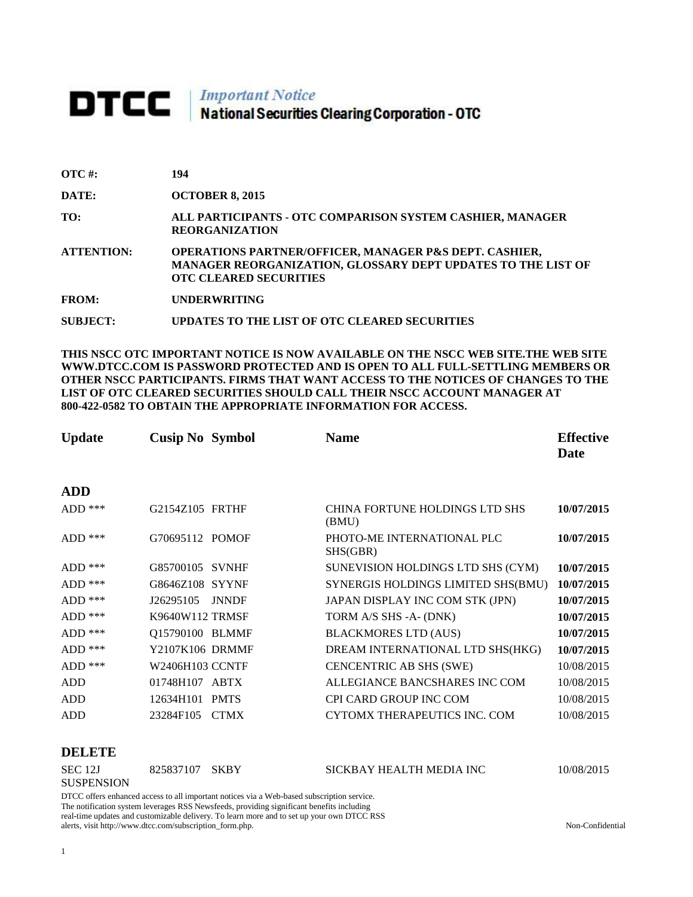# **DTCC** National Securities Clearing Corporation - OTC

| $\overline{OTC}$ #: | 194                                                                                                                                                     |
|---------------------|---------------------------------------------------------------------------------------------------------------------------------------------------------|
| DATE:               | <b>OCTOBER 8, 2015</b>                                                                                                                                  |
| TO:                 | ALL PARTICIPANTS - OTC COMPARISON SYSTEM CASHIER, MANAGER<br><b>REORGANIZATION</b>                                                                      |
| <b>ATTENTION:</b>   | OPERATIONS PARTNER/OFFICER, MANAGER P&S DEPT. CASHIER,<br>MANAGER REORGANIZATION, GLOSSARY DEPT UPDATES TO THE LIST OF<br><b>OTC CLEARED SECURITIES</b> |
| <b>FROM:</b>        | <b>UNDERWRITING</b>                                                                                                                                     |
| <b>SUBJECT:</b>     | UPDATES TO THE LIST OF OTC CLEARED SECURITIES                                                                                                           |

**THIS NSCC OTC IMPORTANT NOTICE IS NOW AVAILABLE ON THE NSCC WEB SITE.THE WEB SITE WWW.DTCC.COM IS PASSWORD PROTECTED AND IS OPEN TO ALL FULL-SETTLING MEMBERS OR OTHER NSCC PARTICIPANTS. FIRMS THAT WANT ACCESS TO THE NOTICES OF CHANGES TO THE LIST OF OTC CLEARED SECURITIES SHOULD CALL THEIR NSCC ACCOUNT MANAGER AT 800-422-0582 TO OBTAIN THE APPROPRIATE INFORMATION FOR ACCESS.** 

| <b>Update</b> | <b>Cusip No Symbol</b> |              | <b>Name</b>                             | <b>Effective</b><br>Date |
|---------------|------------------------|--------------|-----------------------------------------|--------------------------|
| <b>ADD</b>    |                        |              |                                         |                          |
| $ADD$ ***     | G2154Z105 FRTHF        |              | CHINA FORTUNE HOLDINGS LTD SHS<br>(BMU) | 10/07/2015               |
| $ADD$ ***     | G70695112 POMOF        |              | PHOTO-ME INTERNATIONAL PLC<br>SHS(GBR)  | 10/07/2015               |
| $ADD$ ***     | G85700105 SVNHF        |              | SUNEVISION HOLDINGS LTD SHS (CYM)       | 10/07/2015               |
| $ADD$ ***     | G8646Z108 SYYNF        |              | SYNERGIS HOLDINGS LIMITED SHS(BMU)      | 10/07/2015               |
| $ADD$ ***     | J26295105              | <b>JNNDF</b> | JAPAN DISPLAY INC COM STK (JPN)         | 10/07/2015               |
| $ADD$ ***     | K9640W112 TRMSF        |              | TORM A/S SHS -A- (DNK)                  | 10/07/2015               |
| $ADD$ ***     | Q15790100 BLMMF        |              | <b>BLACKMORES LTD (AUS)</b>             | 10/07/2015               |
| $ADD$ ***     | Y2107K106 DRMMF        |              | DREAM INTERNATIONAL LTD SHS(HKG)        | 10/07/2015               |
| $ADD$ ***     | W2406H103 CCNTF        |              | CENCENTRIC AB SHS (SWE)                 | 10/08/2015               |
| <b>ADD</b>    | 01748H107 ABTX         |              | ALLEGIANCE BANCSHARES INC COM           | 10/08/2015               |
| <b>ADD</b>    | 12634H101 PMTS         |              | <b>CPI CARD GROUP INC COM</b>           | 10/08/2015               |
| <b>ADD</b>    | 23284F105              | <b>CTMX</b>  | CYTOMX THERAPEUTICS INC. COM            | 10/08/2015               |

#### **DELETE**

| SEC 12J                                                                                    | 825837107 SKBY |  | SICKBAY HEALTH MEDIA INC | 10/08/2015 |  |
|--------------------------------------------------------------------------------------------|----------------|--|--------------------------|------------|--|
| <b>SUSPENSION</b>                                                                          |                |  |                          |            |  |
| DTCC offers enhanced access to all important notices via a Web-based subscription service. |                |  |                          |            |  |

The notification system leverages RSS Newsfeeds, providing significant benefits including real-time updates and customizable delivery. To learn more and to set up your own DTCC RSS alerts, visit http://www.dtcc.com/subscription\_form.php. Non-Confidential